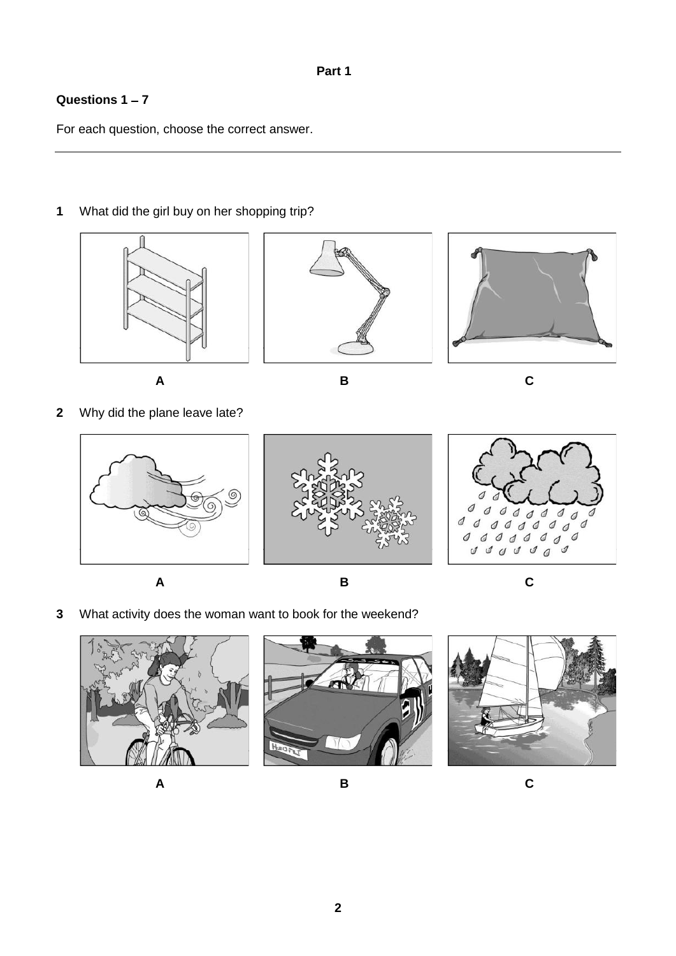## **Questions 1 7**

For each question, choose the correct answer.

# **1** What did the girl buy on her shopping trip?









**A B C**

**2** Why did the plane leave late?



**A B C**

**3** What activity does the woman want to book for the weekend?





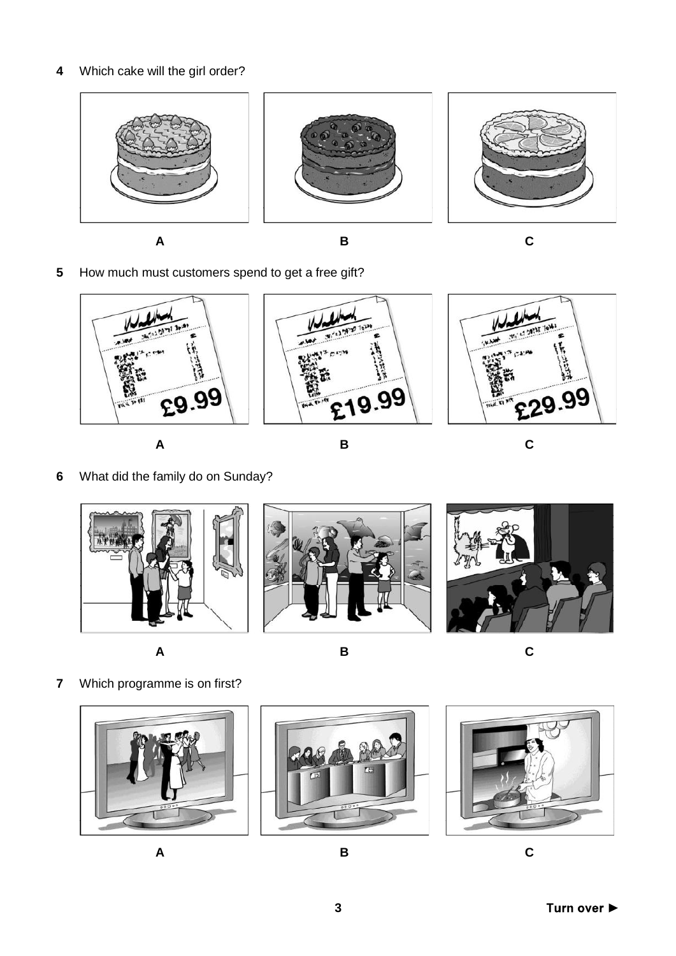**4** Which cake will the girl order?



**A B C**

**5** How much must customers spend to get a free gift?



**6** What did the family do on Sunday?







**A B C**

**7** Which programme is on first?





**A B C**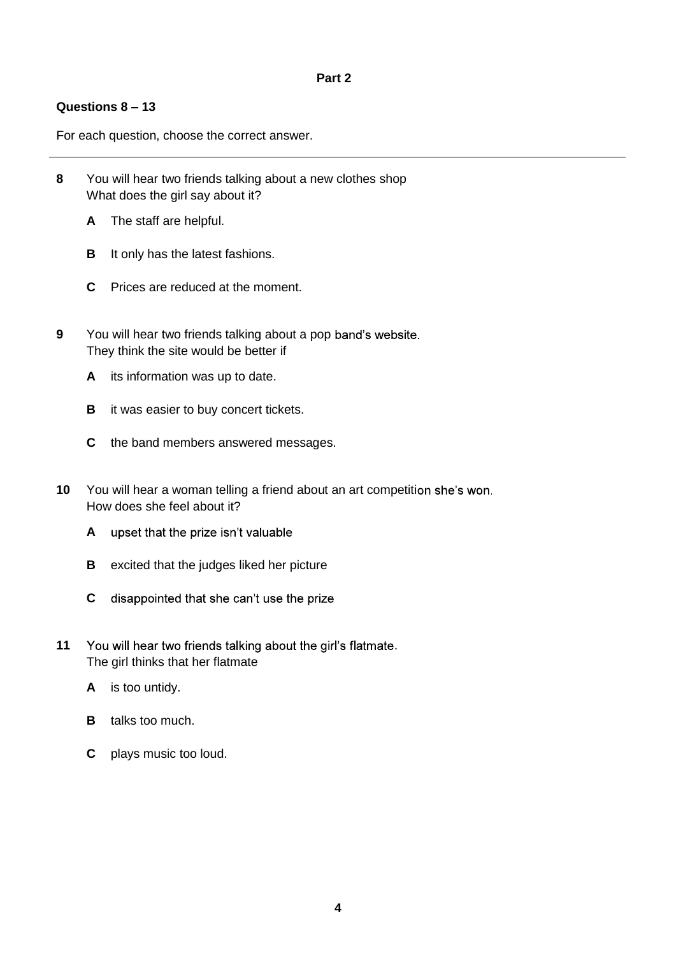### **Questions 8 13**

For each question, choose the correct answer.

- **8** You will hear two friends talking about a new clothes shop What does the girl say about it?
	- **A** The staff are helpful.
	- **B** It only has the latest fashions.
	- **C** Prices are reduced at the moment.
- **9** You will hear two friends talking about a pop band's website. They think the site would be better if
	- **A** its information was up to date.
	- **B** it was easier to buy concert tickets.
	- **C** the band members answered messages.
- **10** You will hear a woman telling a friend about an art competition she's won. How does she feel about it?
	- **A** upset that the prize isn't valuable
	- **B** excited that the judges liked her picture
	- **C** disappointed that she can't use the prize
- 11 You will hear two friends talking about the girl's flatmate. The girl thinks that her flatmate
	- **A** is too untidy.
	- **B** talks too much.
	- **C** plays music too loud.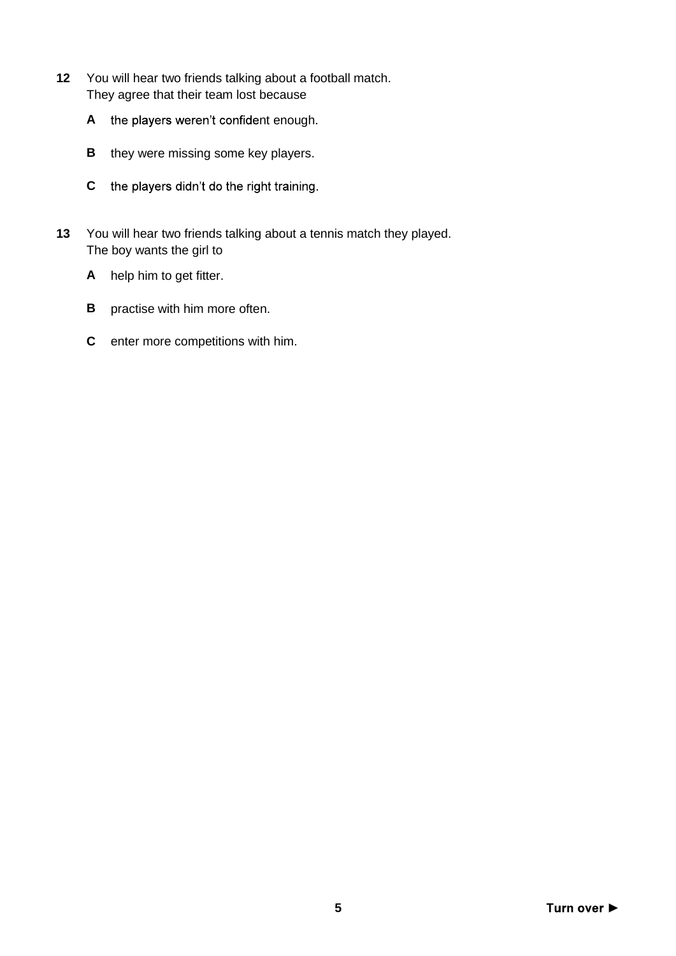- **12** You will hear two friends talking about a football match. They agree that their team lost because
	- A the players weren't confident enough.
	- **B** they were missing some key players.
	- **C** the players didn't do the right training.
- **13** You will hear two friends talking about a tennis match they played. The boy wants the girl to
	- **A** help him to get fitter.
	- **B** practise with him more often.
	- **C** enter more competitions with him.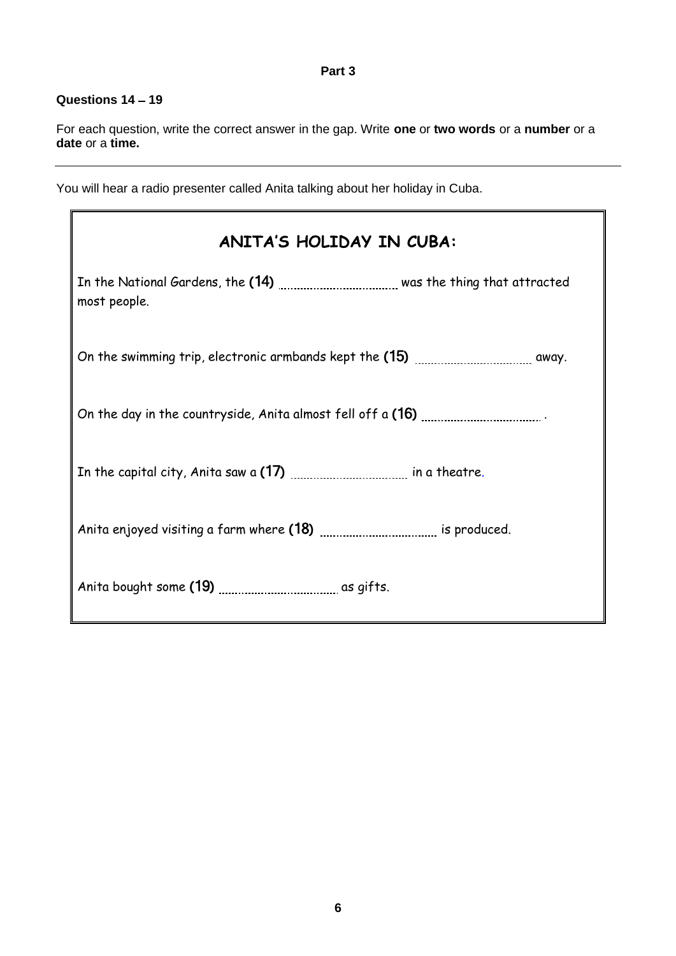#### **Part 3**

#### **Questions 14 19**

For each question, write the correct answer in the gap. Write **one** or **two words** or a **number** or a **date** or a **time.**

You will hear a radio presenter called Anita talking about her holiday in Cuba.

| <b>ANITA'S HOLIDAY IN CUBA:</b>                                                                   |
|---------------------------------------------------------------------------------------------------|
| In the National Gardens, the (14) <i>[CODECULEAD Was</i> the thing that attracted<br>most people. |
|                                                                                                   |
|                                                                                                   |
|                                                                                                   |
|                                                                                                   |
|                                                                                                   |

 $\overline{\phantom{a}}$